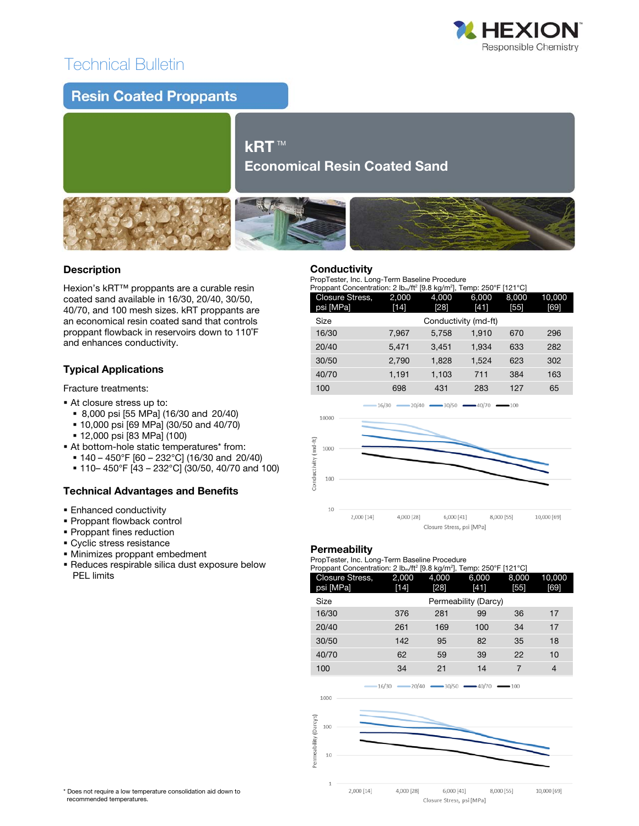# Technical Bulletin



### **Resin Coated Proppants**

### kRT™ Economical Resin Coated Sand



### Description

Hexion's kRT™ proppants are a curable resin coated sand available in 16/30, 20/40, 30/50, 40/70, and 100 mesh sizes. kRT proppants are an economical resin coated sand that controls proppant flowback in reservoirs down to 110˚F and enhances conductivity.

## Typical Applications

Fracture treatments:

- At closure stress up to:
	- 8,000 psi [55 MPa] (16/30 and 20/40)
	- 10,000 psi [69 MPa] (30/50 and 40/70)
	- 12,000 psi [83 MPa] (100)
- At bottom-hole static temperatures\* from:
	- 140 450°F [60 232°C] (16/30 and 20/40)
	- 110– 450°F [43 232°C] (30/50, 40/70 and 100)

### Technical Advantages and Benefits

- **Enhanced conductivity**
- **Proppant flowback control**
- **Proppant fines reduction**
- **Cyclic stress resistance**
- Minimizes proppant embedment
- Reduces respirable silica dust exposure below PEL limits

#### **Conductivity**

PropTester, Inc. Long-Term Baseline Procedure

| Proppant Concentration: 2 lb <sub>m</sub> /ft <sup>2</sup> [9.8 kg/m <sup>2</sup> ], Temp: 250°F [121°C] |                      |        |       |       |        |  |
|----------------------------------------------------------------------------------------------------------|----------------------|--------|-------|-------|--------|--|
| Closure Stress,                                                                                          | 2,000                | 4.000  | 6,000 | 8.000 | 10,000 |  |
| psi [MPa]                                                                                                | $[14]$               | $[28]$ | [41]  | [55]  | [69]   |  |
| Size                                                                                                     | Conductivity (md-ft) |        |       |       |        |  |
| 16/30                                                                                                    | 7,967                | 5,758  | 1.910 | 670   | 296    |  |
| 20/40                                                                                                    | 5,471                | 3.451  | 1.934 | 633   | 282    |  |
| 30/50                                                                                                    | 2,790                | 1,828  | 1,524 | 623   | 302    |  |
| 40/70                                                                                                    | 1,191                | 1,103  | 711   | 384   | 163    |  |
| 100                                                                                                      | 698                  | 431    | 283   | 127   | 65     |  |



### **Permeability**

PropTester, Inc. Long-Term Baseline Procedure

| Proppant Concentration: 2 lb <sub>m</sub> /ft <sup>2</sup> [9.8 kg/m <sup>2</sup> ], Temp: 250°F [121°C] |                      |        |                   |                       |        |
|----------------------------------------------------------------------------------------------------------|----------------------|--------|-------------------|-----------------------|--------|
| Closure Stress,                                                                                          | 2,000                | 4.000  | 6,000             | 8.000                 | 10,000 |
| psi [MPa]                                                                                                | $[14]$               | $[28]$ | [41]              | [55]                  | [69]   |
| Size                                                                                                     | Permeability (Darcy) |        |                   |                       |        |
| 16/30                                                                                                    | 376                  | 281    | 99                | 36                    | 17     |
| 20/40                                                                                                    | 261                  | 169    | 100               | 34                    | 17     |
| 30/50                                                                                                    | 142                  | 95     | 82                | 35                    | 18     |
| 40/70                                                                                                    | 62                   | 59     | 39                | 22                    | 10     |
| 100                                                                                                      | 34                   | 21     | 14                | 7                     | 4      |
|                                                                                                          | $-20/40$<br>$-16/30$ |        | $-30/50$ $-40/70$ | $\longrightarrow$ 100 |        |
| 1000                                                                                                     |                      |        |                   |                       |        |